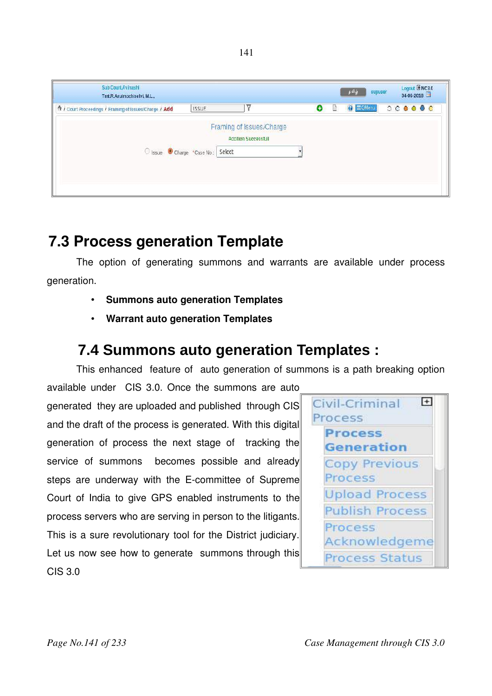| Sub Court, Avinashi<br>Tmt.R.Arulmozhiselvi, M.L.,      |              |                                                         |   |  | Logour $\Xi$ NC3.0<br>04-06-2018 |  |  |         |  |
|---------------------------------------------------------|--------------|---------------------------------------------------------|---|--|----------------------------------|--|--|---------|--|
| Tr / Court Proceedings / Framing of Issues/Charge / Add | <b>ISSUE</b> |                                                         | o |  | $\bigcirc$ $\equiv$ QMenu        |  |  | $00000$ |  |
| O Issue Charge *Case No.: Select                        |              | Framing of Issues/Charge<br><b>Addition Successfull</b> |   |  |                                  |  |  |         |  |

# **7.3 Process generation Template**

The option of generating summons and warrants are available under process generation.

- **Summons auto generation Templates**
- **Warrant auto generation Templates**

## **7.4 Summons auto generation Templates :**

This enhanced feature of auto generation of summons is a path breaking option

available under CIS 3.0. Once the summons are auto generated they are uploaded and published through CIS and the draft of the process is generated. With this digital generation of process the next stage of tracking the service of summons becomes possible and already steps are underway with the E-committee of Supreme Court of India to give GPS enabled instruments to the process servers who are serving in person to the litigants. This is a sure revolutionary tool for the District judiciary. Let us now see how to generate summons through this CIS 3.0



141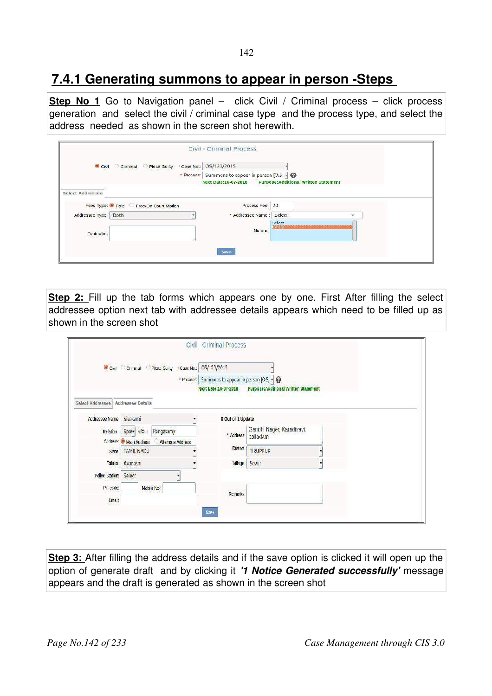## **7.4.1 Generating summons to appear in person -Steps**

**Step No 1** Go to Navigation panel – click Civil / Criminal process – click process generation and select the civil / criminal case type and the process type, and select the address needed as shown in the screen shot herewith.

|                      | Civil Civinning Plead Guilty *case No.: 05/123/2015 |                                                                            |                                                     |
|----------------------|-----------------------------------------------------|----------------------------------------------------------------------------|-----------------------------------------------------|
|                      |                                                     | * Process: Summons to appear in person [O.S. ~   @<br>Next Date:16-07-2018 | <b>Purpose:Additional Written Statement</b>         |
| Select Addressee     |                                                     |                                                                            |                                                     |
|                      | Fees Type: O Paid C Free/On Court Motion            | Process Fee:                                                               | 20                                                  |
| Addressee Type: Both |                                                     | * Addressee Name : Select                                                  | <b>SP</b>                                           |
| <b>Footnate:</b>     |                                                     | Nature:<br><b>SAGE COL</b>                                                 | Select<br>SEE POSSESSION CONSULTS<br><b>STATION</b> |

**Step 2:** Fill up the tab forms which appears one by one. First After filling the select addressee option next tab with addressee details appears which need to be filled up as shown in the screen shot

|                           | Covil Commad P Plead Guilty . Case No.: 05/123/2015 |                                                |                                              |
|---------------------------|-----------------------------------------------------|------------------------------------------------|----------------------------------------------|
|                           |                                                     | * Process: Summons to appear in person [0.5, - |                                              |
|                           |                                                     | Next Date:16-07-2018                           | <b>Purpose: Additional Written Statement</b> |
| Select Addressee          | <b>Addressee Details</b>                            |                                                |                                              |
| Addressee Name : Sivakami |                                                     | 0 Out of 1 Update                              |                                              |
|                           | Relation : Sport R/O :<br>Rangasamy                 | * Address:                                     | Gandhi Nager, Karadivavi,<br>palladam        |
|                           | Address: Main Address Alternate Address             |                                                |                                              |
|                           | State: TAMIL NADU                                   | District:                                      | <b>TIRUPPUR</b>                              |
|                           | Taluka   Avanashi                                   | Village:                                       | Sevur                                        |
| Police Station: Select    |                                                     |                                                |                                              |
| Pin code:                 | Mobile No.:                                         | Remarks:                                       |                                              |
| <b>Email</b>              |                                                     |                                                |                                              |

**Step 3:** After filling the address details and if the save option is clicked it will open up the option of generate draft and by clicking it *'1 Notice Generated successfully'* message appears and the draft is generated as shown in the screen shot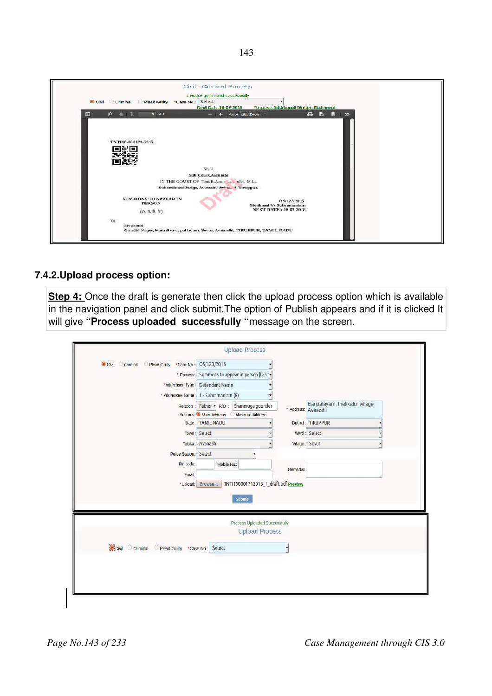|   | Civil - Criminal Process<br>1. Notice generated successfully<br>Civil Criminal Plead Guilty NCase No.:<br>Select                                                                 |
|---|----------------------------------------------------------------------------------------------------------------------------------------------------------------------------------|
| 圓 | <b>Purpose: Additional Written Statement</b><br>Next Date:16-07-2018<br>$1$ of $1$<br>a control<br><b>D</b><br>п<br>$P + 3$<br>$\infty$<br>Automatic Zoom =<br><b>CONTRACTOR</b> |
|   | TNT116-000171-2015<br>$N2$ . $T$<br>Sub Court, Avinashi<br>IN THE COURT OF Tast R.Arale 32. elvi, M.L.,<br>Subordinate Judge, Avinashi, Avina. 4, Tiruppur.                      |
|   | <b>SUMMONS TO APPEAR IN</b><br>OS/123/2015<br><b>PERSON</b><br>Sivakami Vs Subramaniam<br><b>NEXT DATE: 16-07-2018</b><br>(0, 5, R, 3)                                           |
|   | To.<br>Sivakami<br>Gandhi Nager, Karadivavi, palladam, Sevur, Avanashi, TIRUPPUR, TAMIL NADU                                                                                     |

## **7.4.2.Upload process option:**

**Step 4:** Once the draft is generate then click the upload process option which is available in the navigation panel and click submit.The option of Publish appears and if it is clicked It will give "Process uploaded successfully "message on the screen.

| Civil Criminal Plead Guilty<br>*Case No.:    | OS/123/2015                                |          |                                |  |
|----------------------------------------------|--------------------------------------------|----------|--------------------------------|--|
| * Process:                                   | Summons to appear in person [O.5, .        |          |                                |  |
| *Addressee Type                              | Defendant Name                             |          |                                |  |
| * Addressee Name                             | 1 - Subramaniam (R)                        |          |                                |  |
| Relation                                     | Father • R/O :<br>Shanmuga gounder         |          | Earipalayam, thekkalur village |  |
|                                              | Address: Main Address<br>Alternate Address |          | * Address: Avinashi            |  |
| State:                                       | <b>TAMIL NADU</b>                          |          | District: TIRUPPUR             |  |
|                                              | Town: Select                               |          | Ward: Select                   |  |
| Taluka:                                      | Avanashi                                   |          | Village : Sevur                |  |
| Police Station:                              | Select<br>۰                                |          |                                |  |
| Pin code:                                    | Mobile No.:                                |          |                                |  |
| Email:                                       |                                            | Remarks: |                                |  |
|                                              | Submit<br>Process Uploaded Successfully    |          |                                |  |
|                                              |                                            |          |                                |  |
|                                              | <b>Upload Process</b>                      |          |                                |  |
| Civil Criminal Plead Guilty Case No.: Select |                                            |          |                                |  |
|                                              |                                            |          |                                |  |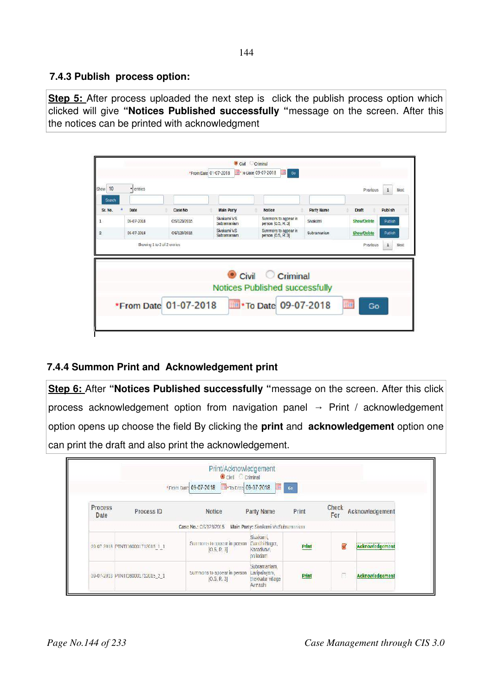## **7.4.3 Publish process option:**

**Step 5:** After process uploaded the next step is click the publish process option which clicked will give **"Notices Published successfully "**message on the screen. After this the notices can be printed with acknowledgment

|                |            |                             |                              | Civil Criminal                                                               |             |                    |                        |
|----------------|------------|-----------------------------|------------------------------|------------------------------------------------------------------------------|-------------|--------------------|------------------------|
|                |            | *From Cate 01-07-2018       |                              | ** To Date 09-07-2018<br>Go<br>19)                                           |             |                    |                        |
| Show 10        | · entries  |                             |                              |                                                                              |             | Previous           | $\overline{1}$<br>Next |
| Search         |            |                             |                              |                                                                              |             |                    |                        |
| Sr. No.        | Date       | Case No                     | <b>Main Party</b>            | <b>Notice</b>                                                                | Party Name  | <b>Draft</b>       | <b>Publsh</b>          |
|                | 09-07-2018 | OS/123/2015                 | Siyakami V.S.<br>Subramaniam | Summons to appear in<br>person [0.5, R. 3]                                   | Sivakami    | Show/Delete        | Putlish                |
| $\overline{2}$ | 09-07-2018 | OS/123/2015                 | Siyakami V.S.<br>Subramaniam | Summons to appear in<br>person [0.5, R.3]                                    | Subramaniam | <b>Show/Delete</b> | Publish                |
|                |            | Showing 1 to 2 of 2 entries |                              |                                                                              |             | Previous           | $\mathbf{1}$<br>Next   |
|                |            |                             |                              | $\bullet$ Civil $\circ$<br>Criminal<br><b>Notices Published successfully</b> |             |                    |                        |
|                |            | *From Date 01-07-2018       |                              | *To Date 09-07-2018                                                          |             | <b>THE</b><br>Go   |                        |

## **7.4.4 Summon Print and Acknowledgement print**

**Step 6: After "Notices Published successfully "message on the screen. After this click** process acknowledgement option from navigation panel  $\rightarrow$  Print / acknowledgement option opens up choose the field By clicking the **print** and **acknowledgement** option one can print the draft and also print the acknowledgement.

|                        |                                  | Print/Acknowledgement<br>Civil C criminal<br>*From Date 09-07-2018 -To Date 09-07-2018 | <b>A</b>                                                     | Co    |              |                 |
|------------------------|----------------------------------|----------------------------------------------------------------------------------------|--------------------------------------------------------------|-------|--------------|-----------------|
| <b>Process</b><br>Date | Process ID                       | Notice                                                                                 | Party Name                                                   | Print | Check<br>For | Acknowledgement |
|                        |                                  | Case No.: OS/123/2015 Main Party: Sivakami V: Subramonian                              |                                                              |       |              |                 |
|                        | 09.07.2018 PTNTI160001712015_1_1 | Summons to appear in person-<br>[0.5, R.3]                                             | Sivakami,<br>Candhi Nager,<br>Karadivavi<br>palladam.        | Print |              | Acknowledgement |
|                        | 09-07-2010 PINIL60001/12015 2 1  | Summons to appear in person<br>[0.5, R. 3]                                             | Subramaniam.<br>Laripalayam,<br>thekkalur village<br>Avrashi | Print | n            | Acknowledgement |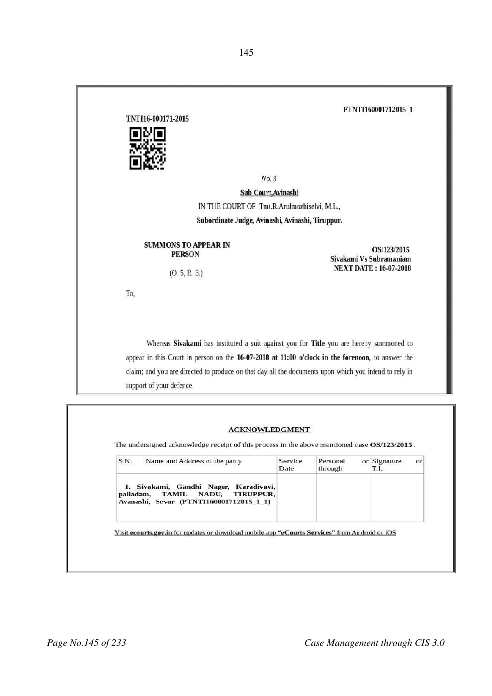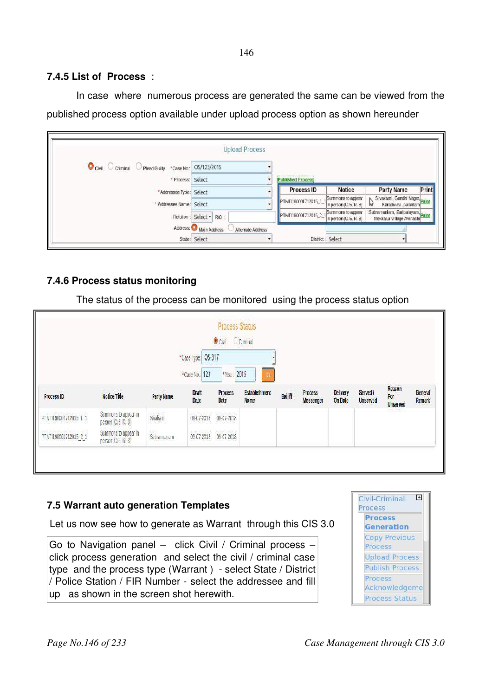**7.4.5 List of Process** :

In case where numerous process are generated the same can be viewed from the published process option available under upload process option as shown hereunder

|                                                                          | <b>Upload Process</b>                      |           |                      |                                            |                                                               |
|--------------------------------------------------------------------------|--------------------------------------------|-----------|----------------------|--------------------------------------------|---------------------------------------------------------------|
| Civil Comminal Plead Guilty "Case No: 05/123/2015                        |                                            |           |                      |                                            |                                                               |
| · Process: Select<br>*Addressee Type: Select<br>* Addressee Name: Select |                                            |           | Published Process    |                                            |                                                               |
|                                                                          |                                            | $\bullet$ | Process ID           | <b>Notice</b>                              | Print<br>Party Name                                           |
|                                                                          |                                            |           | PTNT1160001712015 1  | Summons to appear<br>in person [O.5, R. 3] | Sivakami, Gandhi Nager, Print<br>M<br>Karadivavi, palladam    |
|                                                                          | Relation : Select - R/O :                  |           | PTNT160001712015_2_1 | Summons to appear<br>n person [O.S. R. 3]  | Subramaniam, Earipalayam, Print<br>thekkalur village Avinashi |
|                                                                          | Address: Main Address<br>Alternate Address |           |                      |                                            |                                                               |
|                                                                          | State: Select                              |           | District: Select     |                                            |                                                               |

## **7.4.6 Process status monitoring**

The status of the process can be monitored using the process status option

|                       |                                            |                   |                                    | Process Status<br>Civil Commo        |                                            |        |                      |                     |                             |                                  |                   |
|-----------------------|--------------------------------------------|-------------------|------------------------------------|--------------------------------------|--------------------------------------------|--------|----------------------|---------------------|-----------------------------|----------------------------------|-------------------|
|                       |                                            |                   | *Case Type: 05-317                 |                                      |                                            |        |                      |                     |                             |                                  |                   |
| Process ID            | Notice Title                               | <b>Party Name</b> | 123<br>*Case No.:<br>Draft<br>Date | Vear. 2015<br><b>Process</b><br>Date | $^{\circ}$<br><b>Establishment</b><br>Name | Bailff | Process<br>Messenger | Delivery<br>On Date | Served /<br><b>Unserved</b> | Reason<br>For<br><b>Unserved</b> | General<br>Remark |
| PTNT150001712015 1 1  | Semmons to appear in<br>person [0.5, R. 3] | Sivakam           | 09-07-2018                         | 09-07-2018                           |                                            |        |                      |                     |                             |                                  |                   |
| PTNT1180001712015 2 1 | Summons to appear in<br>person (O.5, H. 3) | Subramanam        | 09 07 2018                         | 09 07 2018                           |                                            |        |                      |                     |                             |                                  |                   |

#### **7.5 Warrant auto generation Templates**

Let us now see how to generate as Warrant through this CIS 3.0

Go to Navigation panel  $-$  click Civil / Criminal process  $$ click process generation and select the civil / criminal case type and the process type (Warrant) - select State / District / Police Station / FIR Number - select the addressee and fill up as shown in the screen shot herewith.

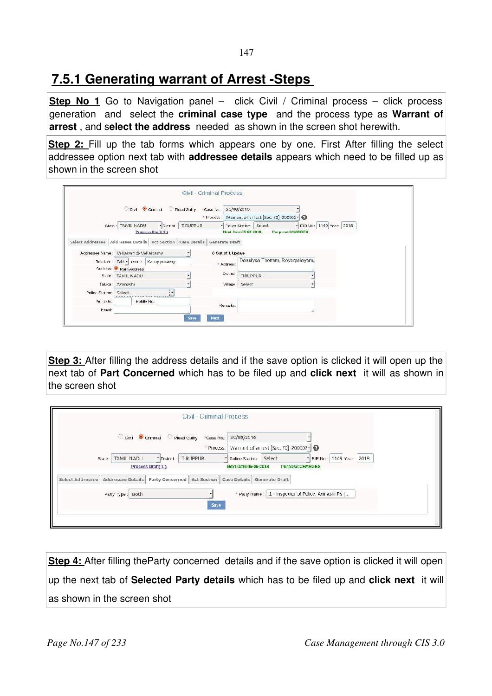## **7.5.1 Generating warrant of Arrest -Steps**

**Step No 1** Go to Navigation panel – click Civil / Criminal process – click process generation and select the **criminal case type**  and the process type as **Warrant of arrest** , and s**elect the address** needed as shown in the screen shot herewith.

**Step 2:** Fill up the tab forms which appears one by one. First After filling the select addressee option next tab with **addressee details** appears which need to be filled up as shown in the screen shot

|                                        |                      |                                         | Cityil Criminal C Plead Guilty "Case No                                            | SC/80/2015           |                                                |                        |  |  |  |  |
|----------------------------------------|----------------------|-----------------------------------------|------------------------------------------------------------------------------------|----------------------|------------------------------------------------|------------------------|--|--|--|--|
|                                        |                      |                                         |                                                                                    |                      | * Process: Warrant of arrest [Sec. 70]-200002* |                        |  |  |  |  |
|                                        | Store: TAMIL NADU    | * District                              | TIRUPPUR                                                                           |                      | - Police Station: Select                       | FIR No: 1149 Year 2018 |  |  |  |  |
|                                        |                      | Process Draft(1)                        |                                                                                    |                      | Next Date:05-06-2018 Purpose:CHARGES           |                        |  |  |  |  |
|                                        |                      |                                         | Select Addressee   Addressee Details   Act Section   Case Details   Generate Draft |                      |                                                |                        |  |  |  |  |
|                                        |                      |                                         |                                                                                    |                      |                                                |                        |  |  |  |  |
| Addressee Name: Vellaiyan @ Vellaisamy |                      |                                         |                                                                                    | 0 Out of 1 Update    |                                                |                        |  |  |  |  |
|                                        |                      | Relation : Fati =   Rro :   Karuppusamy |                                                                                    |                      | Dasaiyan Thottam, Royarpalayam,                |                        |  |  |  |  |
|                                        | Anness: Main Address |                                         |                                                                                    | * Address:           |                                                |                        |  |  |  |  |
|                                        | State: TAMIL NADU    |                                         |                                                                                    | D strict<br>TIRUPPUR |                                                |                        |  |  |  |  |
|                                        | Taluka: Avanashi     |                                         |                                                                                    | Select<br>Village:   |                                                |                        |  |  |  |  |
| Police Station: Select                 |                      | ħ.                                      |                                                                                    |                      |                                                |                        |  |  |  |  |
| Pin coules                             |                      | Mobile No.:                             |                                                                                    | Hemarks:             |                                                |                        |  |  |  |  |
|                                        |                      |                                         |                                                                                    |                      |                                                |                        |  |  |  |  |

**Step 3:** After filling the address details and if the save option is clicked it will open up the next tab of **Part Concerned** which has to be filed up and **click next** it will as shown in the screen shot

|                     | Civil - Criminal Process                                                                                                                         |
|---------------------|--------------------------------------------------------------------------------------------------------------------------------------------------|
|                     | City Comminal Piead Guilty "Case No.:<br>SC/80/2016                                                                                              |
|                     | Warrant of arrest [Sec. 70] -200002 - 2<br>* Process:                                                                                            |
| TAMIL NADU<br>Slae: | Police Station Select<br>* FIR No.: 1149 Year<br>2018<br>TIRUPPUR<br>- District:<br>Purposc:CHARGES<br>Process Draft(1)<br>Next Date: 05-06-2018 |
|                     | Select Addressee   Addressee Details   Party Concerned   Act Section   Case Details   Generate Draft                                             |
| Party Type: Both    | * Party Name :   1 - Inspector of Police, Avinashi Ps (                                                                                          |
|                     | <b>Save</b>                                                                                                                                      |
|                     |                                                                                                                                                  |

**Step 4:** After filling the Party concerned details and if the save option is clicked it will open up the next tab of **Selected Party details** which has to be filed up and **click next** it will as shown in the screen shot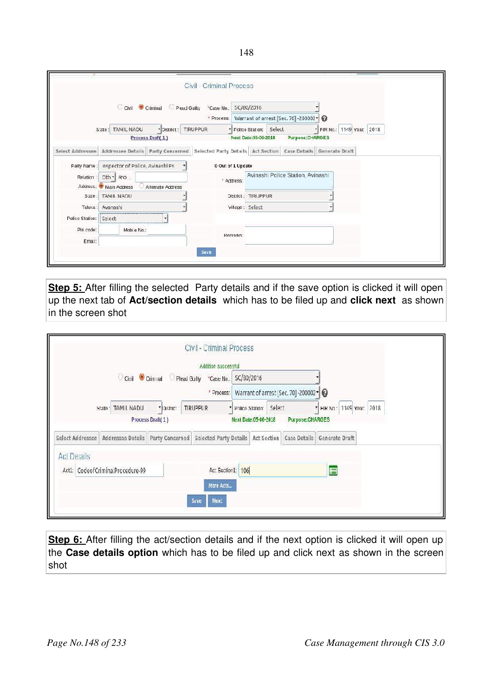|                  |                                              |                              | <b>Civil - Criminal Process</b>                                                                  |                   |                        |                                                  |                            |  |  |
|------------------|----------------------------------------------|------------------------------|--------------------------------------------------------------------------------------------------|-------------------|------------------------|--------------------------------------------------|----------------------------|--|--|
|                  |                                              | C Civil Criminal Pead Guilty | *Case No.:                                                                                       | SC/80/2016        |                        |                                                  |                            |  |  |
|                  |                                              |                              |                                                                                                  |                   |                        | * Process: Warrant of arrest [Sec. 70] -200002 * |                            |  |  |
|                  | State: TAMIL NADU                            |                              | * District: TIRUPPUR                                                                             |                   | Folice Station: Select |                                                  | * FIR No.: 1149 Year: 2018 |  |  |
|                  |                                              | Process Draft(1)             |                                                                                                  |                   | Next Date: 05-06-2018  | Purpose:CHARGES                                  |                            |  |  |
| Select Addressee |                                              |                              | Addressee Details Party Concerned Selected Party Details Act Section Case Details Generate Draft |                   |                        |                                                  |                            |  |  |
|                  | Party Name: Inspector of Police, Avinashi Ps |                              |                                                                                                  | 0 Out of 1 Update |                        |                                                  |                            |  |  |
|                  | Relation : Oth + R/O :                       |                              |                                                                                                  | ' Address:        |                        | Avinashi Police Station, Avinashi                |                            |  |  |
|                  | Address. Main Address                        | Alternate Address            |                                                                                                  |                   |                        |                                                  |                            |  |  |
|                  | State: TAMIL NADU                            |                              |                                                                                                  |                   | District: TIRUPPUR     |                                                  |                            |  |  |
|                  | Taluka: Avanashi                             |                              |                                                                                                  | Village: Select   |                        |                                                  |                            |  |  |
| Police Station:  | Select                                       |                              |                                                                                                  |                   |                        |                                                  |                            |  |  |
| Pin code:        | Mobi e No.:                                  |                              |                                                                                                  | Remarks:          |                        |                                                  |                            |  |  |
| Emal:            |                                              |                              |                                                                                                  |                   |                        |                                                  |                            |  |  |
|                  |                                              |                              | Save                                                                                             |                   |                        |                                                  |                            |  |  |

**Step 5:** After filling the selected Party details and if the save option is clicked it will open up the next tab of **Act/section details**  which has to be filed up and **click next** as shown in the screen shot

|                    |                                      |                  | Civil - Criminal Process<br>Addition successful                                        |                             |                                                    |                           |  |
|--------------------|--------------------------------------|------------------|----------------------------------------------------------------------------------------|-----------------------------|----------------------------------------------------|---------------------------|--|
|                    |                                      |                  | O Civil Crim rial Plead Gully *Case No                                                 | SC/B0/2016                  |                                                    |                           |  |
|                    |                                      |                  |                                                                                        |                             | * Process: Warrant of arrest [Sec. 70] -200002 - 0 |                           |  |
|                    | State: TAMIL NADU                    | * District       | <b>TIRUPPUR</b>                                                                        |                             | Police Station: Select                             | " HR No.: 1149 Year: 2018 |  |
|                    |                                      | Process Draft(1) |                                                                                        | <b>Next Date:05-06-2018</b> | Purpose:CHARGES                                    |                           |  |
|                    | Select Addressee   Addressee Details |                  | Party Concerned   Selected Party Details   Act Section   Case Details   Generate Draft |                             |                                                    |                           |  |
| <b>Act Details</b> |                                      |                  |                                                                                        |                             |                                                    |                           |  |
|                    | Act1: CodeofCriminalProcedure-99     |                  | Act Section1: 106                                                                      |                             |                                                    | E                         |  |
|                    |                                      |                  | More Acts                                                                              |                             |                                                    |                           |  |
|                    |                                      |                  | Next<br>Save                                                                           |                             |                                                    |                           |  |
|                    |                                      |                  |                                                                                        |                             |                                                    |                           |  |

**Step 6:** After filling the act/section details and if the next option is clicked it will open up the **Case details option** which has to be filed up and click next as shown in the screen shot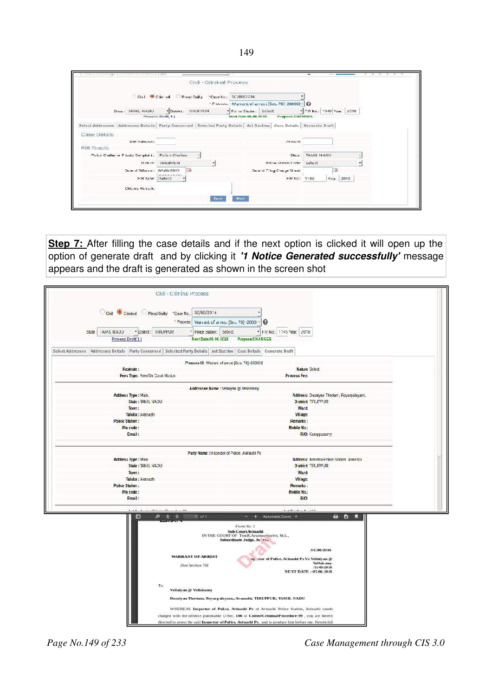|                                                                                                                               | Civil - Criminal Process.                    |                                                   |                            |  |
|-------------------------------------------------------------------------------------------------------------------------------|----------------------------------------------|---------------------------------------------------|----------------------------|--|
|                                                                                                                               | Civil Chimal Pead Oully Case No.: SC/80/2016 |                                                   |                            |  |
|                                                                                                                               |                                              | * Process: Warrent of arrest [Sec. 70] 200002 . D |                            |  |
| State: TAMIL NADU                                                                                                             | Fishiot: TIRUPPUR                            | Figure Station: Select                            | - FIR No.: 1149 Year. 2018 |  |
|                                                                                                                               | Process Draft 1                              | Purpose:CHARGES<br>Next Date:06-06-2018           |                            |  |
| Select Addressee   Addressee Details   Party Concerned   Selected Party Details   Act Section   Case Details   Generate Draft |                                              |                                                   |                            |  |
| Case Details                                                                                                                  |                                              |                                                   |                            |  |
| Suit Valuations                                                                                                               |                                              | <b>Arrount:</b>                                   |                            |  |
| <b>FIR Details</b>                                                                                                            |                                              |                                                   |                            |  |
| Police Challas or Private Complaint : Police Challan                                                                          |                                              |                                                   | State: TAMIL NADU          |  |
|                                                                                                                               | District: TIRUPPUR                           | Police Station Code: Select-                      |                            |  |
| Dale of Offence: 02-08-2012                                                                                                   | 画                                            | Date of F ing Charge Sheet:                       | 诵                          |  |
|                                                                                                                               | <b>HR Iyae: I Select</b>                     | FIR No.: 1149                                     | Усм. 2018.                 |  |
|                                                                                                                               |                                              |                                                   |                            |  |
| Offence Remark.                                                                                                               |                                              |                                                   |                            |  |

**Step 7:** After filling the case details and if the next option is clicked it will open up the option of generate draft and by clicking it *'1 Notice Generated successfully'* message appears and the draft is generated as shown in the screen shot

| Civil - Criminal Process                                                                         |                                                                                                          |
|--------------------------------------------------------------------------------------------------|----------------------------------------------------------------------------------------------------------|
| Civil Criminal Plead Guily *Case No.<br>* Piocess:                                               | SC/80/2016<br>Warrant of arres. [Sec. 70]-2000 · 0                                                       |
| State:   AM L NADJ<br>* District:<br><b>IIRUPPUR</b>                                             | * Police Station:<br>*   F.K. No.:   1149 Year:   2018<br>Select                                         |
| Process Draft(1)                                                                                 | Next Date:05 06 2018<br>Purpose:CHARGES                                                                  |
|                                                                                                  |                                                                                                          |
| <b>Selected Party Details</b><br><b>Addressee Details</b><br>Party Concerned<br>Sciect Addressee | Act Section<br>Case Details Cenerate Draft                                                               |
|                                                                                                  | Process ID Warrant of arrest [Sec. 70] -200002                                                           |
| Footnote:<br>Fees Type: Free/On Court Motion                                                     | <b>Nature Select</b><br><b>Process Fee:</b>                                                              |
|                                                                                                  |                                                                                                          |
| Address Type : Main.                                                                             | Addressee Name : Vellaman @ Vellaisamy<br>Address: Dasaiyan Thetlam, Royarpalayam,                       |
| State: TANIL NADU                                                                                | <b>District: TRUPPUR</b>                                                                                 |
| Town:                                                                                            | Ward:                                                                                                    |
| Taluka : Avanashi                                                                                | Village:                                                                                                 |
| <b>Police Station:</b><br>Pin code:                                                              | <b>Hemarks</b> :<br><b>Mobile No.:</b>                                                                   |
| Email:                                                                                           | R/O: Karuppusamy                                                                                         |
|                                                                                                  |                                                                                                          |
|                                                                                                  | Party Name : Inspector of Polce, Avinashi Ps                                                             |
| <b>Address Type: Main</b>                                                                        | Address: Avicashi Police Station, Avinashi                                                               |
| State: TANIL NADU                                                                                | District: TRUPPUR                                                                                        |
| Town:                                                                                            | Ward:                                                                                                    |
| Taluka : Avanashi<br><b>Pulice Station:</b>                                                      | Vil age:<br>Remarks:                                                                                     |
| PIn code:                                                                                        | <b>Mobile No.:</b>                                                                                       |
| <b>Email:</b>                                                                                    | RIO:                                                                                                     |
|                                                                                                  | $1 - 10 - 16$                                                                                            |
| <b>IB</b><br>ø                                                                                   | T of 1<br>G)<br>ы<br>Automatic Zoom<br>æ<br>٠                                                            |
|                                                                                                  | Form No. 1                                                                                               |
|                                                                                                  | Sub Court Avinashi<br>IN THE COURT OF Tmt.R.Aralmozhiselvi, M.L.,                                        |
|                                                                                                  | Subordinate Judge, Av 332                                                                                |
| <b>WARRANT OF ARREST</b>                                                                         | SC/80/2016                                                                                               |
|                                                                                                  | ctor of Police, Avinashi Ps Vs Vellaiyan @<br><b>Vollaisanny</b>                                         |
| (See Section 70)                                                                                 | /1149/2018<br>NEXT DATE: 05-06-2018                                                                      |
|                                                                                                  |                                                                                                          |
| To,                                                                                              |                                                                                                          |
| Vellalyan @ Vellaisamy                                                                           |                                                                                                          |
|                                                                                                  | Dasaiyan Thottam, Royarpalayam,, Avanashi, TIRUPPUR, TAMIL NADU                                          |
|                                                                                                  | WHEREAS Inspector of Police, Avinashi Ps of Avinashi Police Station, Avinashi stands                     |
|                                                                                                  | charged with the offence punishable U/Sec. 106 of CodeofCriminalProcedure-99, you are hereby             |
|                                                                                                  | directed to arrest the said Inspector of Police. Avinashi Ps . and to produce him before me. Herein fail |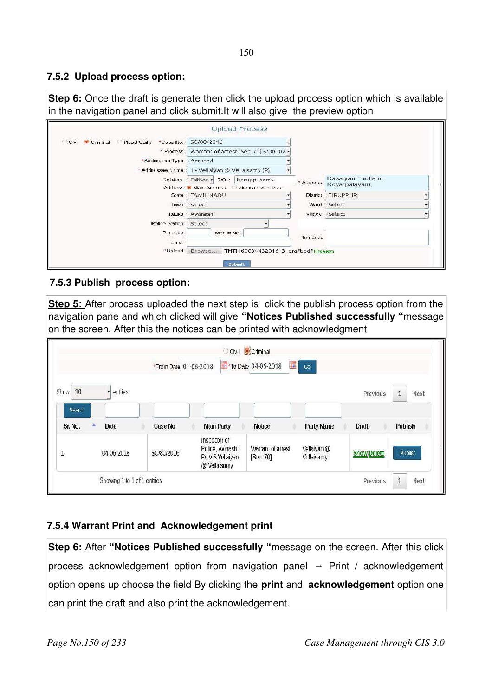## **7.5.2 Upload process option:**

**Step 6:** Once the draft is generate then click the upload process option which is available in the navigation panel and click submit.It will also give the preview option

| Civil Criminal Plead Guilty *Case No.: SC/80/2016 |                                                                                       |          |                                    |  |
|---------------------------------------------------|---------------------------------------------------------------------------------------|----------|------------------------------------|--|
|                                                   |                                                                                       |          |                                    |  |
|                                                   | * Process: Warrant of arrest [Sec. 70] -200002 -                                      |          |                                    |  |
| *Addressee Type: Accused                          |                                                                                       |          |                                    |  |
|                                                   | * Addressee Name: 1 - Vellaiyan @ Vellaisamy (R)                                      |          |                                    |  |
|                                                   | Relation : Father • R/O :<br>Karuppusamy<br>Address: Mi Main Address Mitemate Address | Address: | Dasaiyan Thotlam,<br>Royarpalayam, |  |
|                                                   | State: TAMIL NADU                                                                     |          | District: TIRUPPUR.                |  |
|                                                   | Town: Select                                                                          |          | Ward: Select                       |  |
|                                                   | Taluka : Avanashi                                                                     |          | Village: Select                    |  |
| Police Station: Select                            |                                                                                       |          |                                    |  |
| Pin code:<br>Ernail:                              | Mobile No.:                                                                           | Remarks: |                                    |  |
| *Upload:                                          | Browse   TNTI160004432016_3_draft.pdf Preview                                         |          |                                    |  |

### **7.5.3 Publish process option:**

**Step 5:** After process uploaded the next step is click the publish process option from the navigation pane and which clicked will give **"Notices Published successfully "**message on the screen. After this the notices can be printed with acknowledgment

|                      |                             | *From Date 01-06-2018 |                                                                      | Civil Criminal<br>A.<br>To Date 04-06-2018 | Go                        |                    |                          |
|----------------------|-----------------------------|-----------------------|----------------------------------------------------------------------|--------------------------------------------|---------------------------|--------------------|--------------------------|
| Show<br>10<br>Search | entries                     |                       |                                                                      |                                            |                           | Previous           | $\mathbf 1$<br>Next      |
| Sr. No.              | Date                        | Case No               | <b>Main Party</b>                                                    | <b>Notice</b>                              | Party Name                | Draft              | Publish                  |
| $\mathbf 1$          | 04 05 2018                  | SC/80/2016            | Inspector of<br>Police, Avinashi<br>Ps V.S Vellaiyan<br>@ Vellaisamy | Warrant of arrest<br>[Sec. 70]             | Vellaiyan @<br>Vellaisamy | <b>Show/Delete</b> | Publish                  |
|                      | Showing 1 to 1 of 1 entries |                       |                                                                      |                                            |                           | Previous           | $1\,$<br>Next<br>1999149 |

## **7.5.4 Warrant Print and Acknowledgement print**

**Step 6:** After "Notices Published successfully "message on the screen. After this click process acknowledgement option from navigation panel  $\rightarrow$  Print / acknowledgement option opens up choose the field By clicking the **print** and **acknowledgement** option one can print the draft and also print the acknowledgement.